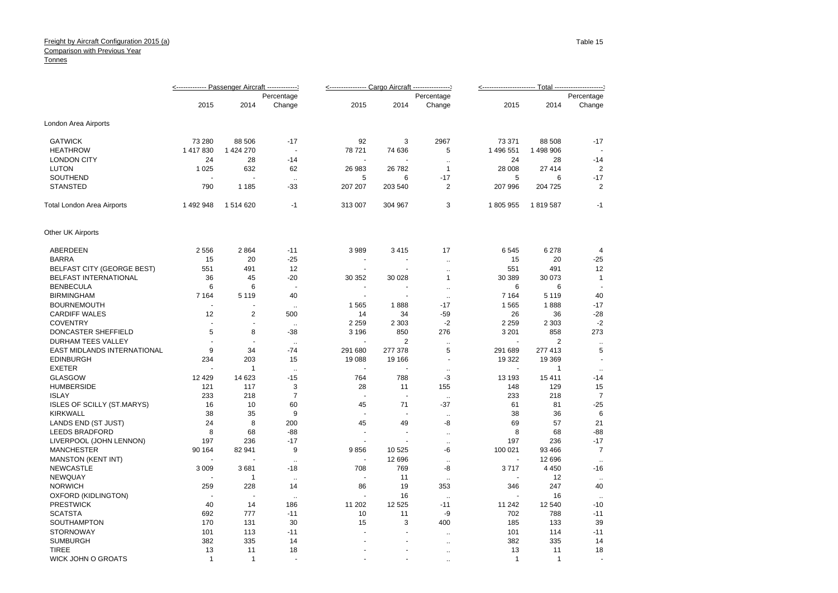|                              | <------------ Passenger Aircraft ------------- |              |                      | <--------------- Cargo Aircraft ---------------- |                          |                      |                |                |                |
|------------------------------|------------------------------------------------|--------------|----------------------|--------------------------------------------------|--------------------------|----------------------|----------------|----------------|----------------|
|                              |                                                | Percentage   |                      |                                                  |                          | Percentage           |                |                | Percentage     |
|                              | 2015                                           | 2014         | Change               | 2015                                             | 2014                     | Change               | 2015           | 2014           | Change         |
| London Area Airports         |                                                |              |                      |                                                  |                          |                      |                |                |                |
| <b>GATWICK</b>               | 73 280                                         | 88 506       | $-17$                | 92                                               | 3                        | 2967                 | 73 371         | 88 508         | $-17$          |
| <b>HEATHROW</b>              | 1 417 830                                      | 1 424 270    | $\blacksquare$       | 78 721                                           | 74 636                   | 5                    | 1 496 551      | 1498906        |                |
| <b>LONDON CITY</b>           | 24                                             | 28           | $-14$                |                                                  |                          | $\ddot{\phantom{a}}$ | 24             | 28             | $-14$          |
| <b>LUTON</b>                 | 1 0 2 5                                        | 632          | 62                   | 26 983                                           | 26 782                   | $\mathbf{1}$         | 28 008         | 27 414         | $\overline{2}$ |
| SOUTHEND                     |                                                | ÷.           | $\ddot{\phantom{a}}$ | 5                                                | 6                        | $-17$                | 5              | 6              | $-17$          |
| <b>STANSTED</b>              | 790                                            | 1 1 8 5      | $-33$                | 207 207                                          | 203 540                  | $\overline{2}$       | 207 996        | 204 725        | $\overline{2}$ |
| Total London Area Airports   | 1492948                                        | 1514620      | $-1$                 | 313 007                                          | 304 967                  | 3                    | 1805955        | 1819587        | $-1$           |
| Other UK Airports            |                                                |              |                      |                                                  |                          |                      |                |                |                |
| <b>ABERDEEN</b>              | 2 5 5 6                                        | 2864         | $-11$                | 3989                                             | 3415                     | 17                   | 6545           | 6 2 7 8        | $\overline{4}$ |
| <b>BARRA</b>                 | 15                                             | 20           | $-25$                | $\blacksquare$                                   | $\overline{\phantom{a}}$ | $\ddot{\phantom{a}}$ | 15             | 20             | $-25$          |
| BELFAST CITY (GEORGE BEST)   | 551                                            | 491          | 12                   | $\blacksquare$                                   | $\blacksquare$           | $\ddot{\phantom{a}}$ | 551            | 491            | 12             |
| <b>BELFAST INTERNATIONAL</b> | 36                                             | 45           | $-20$                | 30 352                                           | 30 0 28                  | $\mathbf{1}$         | 30 389         | 30 073         | $\mathbf{1}$   |
| <b>BENBECULA</b>             | 6                                              | 6            | ÷,                   |                                                  |                          | $\ddot{\phantom{a}}$ | 6              | 6              |                |
| <b>BIRMINGHAM</b>            | 7 1 6 4                                        | 5 1 1 9      | 40                   | $\blacksquare$                                   |                          | $\ddotsc$            | 7 1 6 4        | 5 1 1 9        | 40             |
| <b>BOURNEMOUTH</b>           |                                                |              | $\ddotsc$            | 1565                                             | 1888                     | $-17$                | 1565           | 1888           | $-17$          |
| <b>CARDIFF WALES</b>         | 12                                             | 2            | 500                  | 14                                               | 34                       | $-59$                | 26             | 36             | $-28$          |
| <b>COVENTRY</b>              | ÷.                                             | ÷,           | $\ddotsc$            | 2 2 5 9                                          | 2 3 0 3                  | $-2$                 | 2 2 5 9        | 2 3 0 3        | $-2$           |
| DONCASTER SHEFFIELD          | 5                                              | 8            | $-38$                | 3 1 9 6                                          | 850                      | 276                  | 3 2 0 1        | 858            | 273            |
| <b>DURHAM TEES VALLEY</b>    | $\overline{\phantom{a}}$                       |              | $\sim$               | ÷,                                               | $\overline{2}$           | $\ddot{\phantom{1}}$ |                | $\overline{2}$ | $\sim$         |
| EAST MIDLANDS INTERNATIONAL  | 9                                              | 34           | $-74$                | 291 680                                          | 277 378                  | 5                    | 291 689        | 277 413        | 5              |
| <b>EDINBURGH</b>             | 234                                            | 203          | 15                   | 19 088                                           | 19 16 6                  |                      | 19 322         | 19 3 69        |                |
| <b>EXETER</b>                |                                                | $\mathbf{1}$ | $\sim$               | ÷,                                               | $\blacksquare$           | ä.                   | $\blacksquare$ | $\mathbf{1}$   | $\ddotsc$      |
| <b>GLASGOW</b>               | 12 4 29                                        | 14 623       | $-15$                | 764                                              | 788                      | -3                   | 13 193         | 15 411         | $-14$          |
| <b>HUMBERSIDE</b>            | 121                                            | 117          | 3                    | 28                                               | 11                       | 155                  | 148            | 129            | 15             |
| <b>ISLAY</b>                 | 233                                            | 218          | $\overline{7}$       |                                                  |                          | $\ddotsc$            | 233            | 218            | $\overline{7}$ |
| ISLES OF SCILLY (ST.MARYS)   | 16                                             | 10           | 60                   | 45                                               | 71                       | $-37$                | 61             | 81             | $-25$          |
| <b>KIRKWALL</b>              | 38                                             | 35           | 9                    |                                                  |                          | $\ddot{\phantom{a}}$ | 38             | 36             | 6              |
| LANDS END (ST JUST)          | 24                                             | 8            | 200                  | 45                                               | 49                       | -8                   | 69             | 57             | 21             |
| <b>LEEDS BRADFORD</b>        | 8                                              | 68           | $-88$                | ÷,                                               | $\blacksquare$           | ä.                   | 8              | 68             | $-88$          |
| LIVERPOOL (JOHN LENNON)      | 197                                            | 236          | $-17$                |                                                  |                          | $\ddot{\phantom{1}}$ | 197            | 236            | $-17$          |
| <b>MANCHESTER</b>            | 90 164                                         | 82 941       | 9                    | 9856                                             | 10 5 25                  | -6                   | 100 021        | 93 4 66        | $\overline{7}$ |
| <b>MANSTON (KENT INT)</b>    |                                                |              | $\ddotsc$            | ÷,                                               | 12 6 9 6                 | $\mathbf{r}$         |                | 12 6 9 6       | $\ddotsc$      |
| <b>NEWCASTLE</b>             | 3 0 0 9                                        | 3681         | $-18$                | 708                                              | 769                      | -8                   | 3717           | 4 4 5 0        | $-16$          |
| <b>NEWQUAY</b>               |                                                | $\mathbf{1}$ | $\ddotsc$            | ÷.                                               | 11                       | $\ddot{\phantom{a}}$ |                | 12             | $\ddotsc$      |
| <b>NORWICH</b>               | 259                                            | 228          | 14                   | 86                                               | 19                       | 353                  | 346            | 247            | 40             |
| OXFORD (KIDLINGTON)          |                                                | ÷,           | $\ddotsc$            |                                                  | 16                       | $\ddotsc$            |                | 16             |                |
| <b>PRESTWICK</b>             | 40                                             | 14           | 186                  | 11 202                                           | 12 5 25                  | $-11$                | 11 242         | 12 540         | $-10$          |
| <b>SCATSTA</b>               | 692                                            | 777          | $-11$                | 10                                               | 11                       | -9                   | 702            | 788            | $-11$          |
| SOUTHAMPTON                  | 170                                            | 131          | 30                   | 15                                               | 3                        | 400                  | 185            | 133            | 39             |
| <b>STORNOWAY</b>             | 101                                            | 113          | $-11$                | ÷                                                |                          | $\ddotsc$            | 101            | 114            | $-11$          |
| <b>SUMBURGH</b>              | 382                                            | 335          | 14                   |                                                  |                          | $\ddot{\phantom{a}}$ | 382            | 335            | 14             |
| <b>TIREE</b>                 | 13                                             | 11           | 18                   |                                                  |                          | $\ddot{\phantom{a}}$ | 13             | 11             | 18             |
| <b>WICK JOHN O GROATS</b>    | $\mathbf{1}$                                   | $\mathbf{1}$ |                      |                                                  |                          |                      | $\overline{1}$ | $\overline{1}$ | $\sim$         |